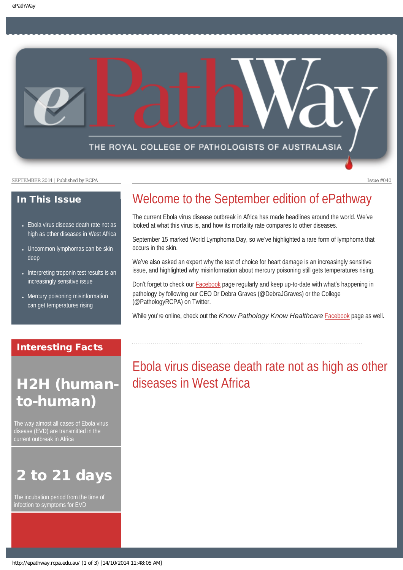THE ROYAL COLLEGE OF PATHOLOGISTS OF AUSTRALASIA

SEPTEMBER 2014 | Published by RCPA Issue #040

### In This Issue

- Ebola virus disease death rate not as [high as other diseases in West Africa](#page-0-0)
- Uncommon lymphomas can be skin [deep](#page-1-0)
- Interpreting troponin test results is an [increasingly sensitive issue](#page-1-1)
- Mercury poisoning misinformation [can get temperatures rising](#page-2-0)

# Welcome to the September edition of ePathway

The current Ebola virus disease outbreak in Africa has made headlines around the world. We've looked at what this virus is, and how its mortality rate compares to other diseases.

September 15 marked World Lymphoma Day, so we've highlighted a rare form of lymphoma that occurs in the skin.

We've also asked an expert why the test of choice for heart damage is an increasingly sensitive issue, and highlighted why misinformation about mercury poisoning still gets temperatures rising.

Don't forget to check our **Facebook** page regularly and keep up-to-date with what's happening in pathology by following our CEO Dr Debra Graves (@DebraJGraves) or the College (@PathologyRCPA) on Twitter.

While you're online, check out the *Know Pathology Know Healthcare* [Facebook](https://www.facebook.com/KnowPathology) page as well.

### <span id="page-0-0"></span>Interesting Facts

# H2H (humanto-human)

The way almost all cases of Ebola virus disease (EVD) are transmitted in the current outbreak in Africa

# 2 to 21 days

The incubation period from the time of infection to symptoms for EVD

Ebola virus disease death rate not as high as other diseases in West Africa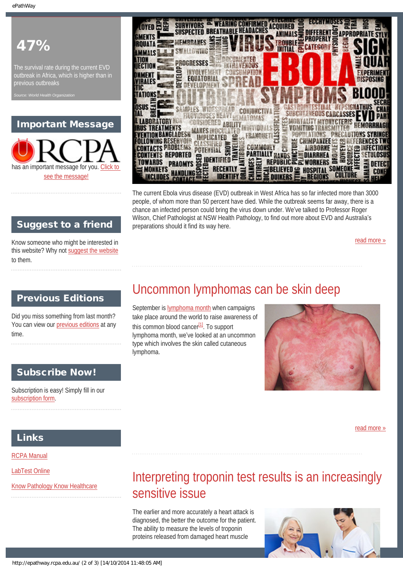# 47%

The survival rate during the current EVD outbreak in Africa, which is higher than in

**World Health Org** 

### Important Message





The current Ebola virus disease (EVD) outbreak in West Africa has so far infected more than 3000 people, of whom more than 50 percent have died. While the outbreak seems far away, there is a chance an infected person could bring the virus down under. We've talked to Professor Roger Wilson, Chief Pathologist at NSW Health Pathology, to find out more about EVD and Australia's preparations should it find its way here.

[read more »](#page-5-0)

### Suggest to a friend

Know someone who might be interested in this website? Why not [suggest the website](mailto:?Subject=I%20think%20you%20should%20read%20this%20Newsletter=
http://epathway.rcpa.edu.au/index.html) to them.

### <span id="page-1-0"></span>Previous Editions

Did you miss something from last month? You can view our [previous editions](#page-3-0) at any time.

### Subscribe Now!

Subscription is easy! Simply fill in our [subscription form.](http://epathway.rcpa.edu.au/subscription.html)

## Uncommon lymphomas can be skin deep

September is [lymphoma month](http://www.lymphoma.org.au/world-lymphoma-day) when campaigns take place around the world to raise awareness of this common blood cancer $[1]$ . To support lymphoma month, we've looked at an uncommon type which involves the skin called cutaneous lymphoma.



[read more »](#page-7-0)

### Links

[RCPA Manual](http://rcpamanual.edu.au/)

<span id="page-1-1"></span>[LabTest Online](http://www.labtestsonline.org.au/)

[Know Pathology Know Healthcare](http://knowpathology.com.au/)

# Interpreting troponin test results is an increasingly sensitive issue

The earlier and more accurately a heart attack is diagnosed, the better the outcome for the patient. The ability to measure the levels of troponin proteins released from damaged heart muscle

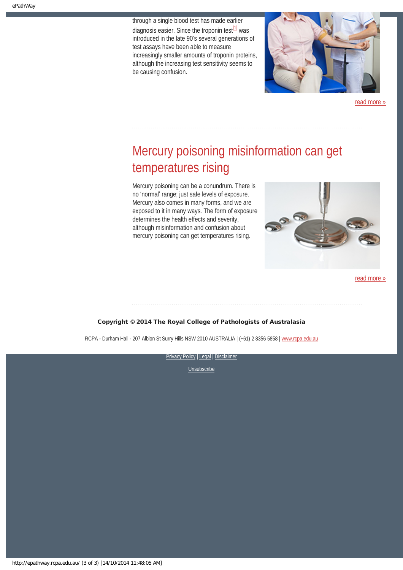through a single blood test has made earlier diagnosis easier. Since the troponin test $\frac{11}{11}$  was introduced in the late 90's several generations of test assays have been able to measure increasingly smaller amounts of troponin proteins, although the increasing test sensitivity seems to be causing confusion.



[read more »](#page-9-0)

# <span id="page-2-0"></span>Mercury poisoning misinformation can get temperatures rising

Mercury poisoning can be a conundrum. There is no 'normal' range; just safe levels of exposure. Mercury also comes in many forms, and we are exposed to it in many ways. The form of exposure determines the health effects and severity, although misinformation and confusion about mercury poisoning can get temperatures rising.



[read more »](#page-11-0)

#### Copyright © 2014 The Royal College of Pathologists of Australasia

RCPA - Durham Hall - 207 Albion St Surry Hills NSW 2010 AUSTRALIA | (+61) 2 8356 5858 | [www.rcpa.edu.au](http://www.rcpa.edu.au/)

[Privacy Policy](http://www.rcpa.edu.au/Content-Library/Privacy.aspx) | [Legal](http://www.rcpa.edu.au/Legal.aspx) | Disclaimer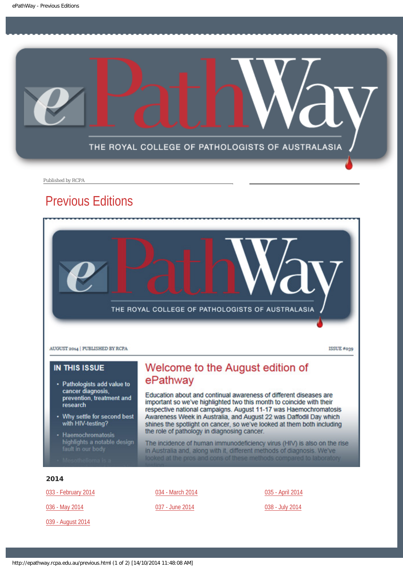<span id="page-3-0"></span>

Published by RCPA

### Previous Editions



### **IN THIS ISSUE**

- · Pathologists add value to<br>cancer diagnosis, prevention, treatment and research
- Why settle for second best with HIV-testing?
- Haemochromatosis highlights a notable design

### Welcome to the August edition of ePathway

Education about and continual awareness of different diseases are important so we've highlighted two this month to coincide with their respective national campaigns. August 11-17 was Haemochromatosis Awareness Week in Australia, and August 22 was Daffodil Day which shines the spotlight on cancer, so we've looked at them both including the role of pathology in diagnosing cancer.

The incidence of human immunodeficiency virus (HIV) is also on the rise in Australia and, along with it, different methods of diagnosis. We've looked at the pros and cons of these methods compared to laboratory

#### 2014

[033 - February 2014](http://epathway.rcpa.edu.au/previous/033_0214.pdf)

[036 - May 2014](http://epathway.rcpa.edu.au/previous/036_0514.pdf)

[039 - August 2014](http://epathway.rcpa.edu.au/previous/039_0814.pdf)

[034 - March 2014](http://epathway.rcpa.edu.au/previous/034_0314.pdf)

#### [037 - June 2014](http://epathway.rcpa.edu.au/previous/037_0614.pdf)

[035 - April 2014](http://epathway.rcpa.edu.au/previous/035_0414.pdf)

[038 - July 2014](http://epathway.rcpa.edu.au/previous/038_0714.pdf)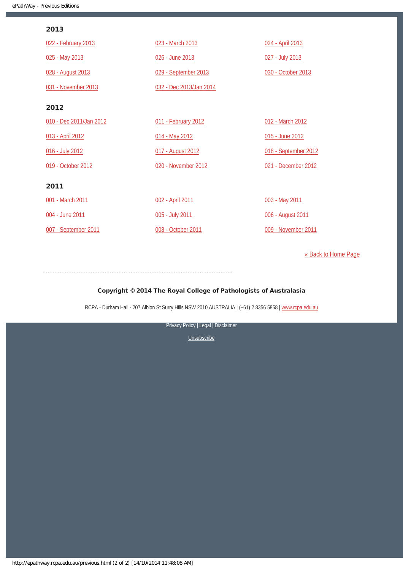### 2013

| 022 - February 2013     | 023 - March 2013        | 024 - April 2013     |
|-------------------------|-------------------------|----------------------|
| 025 - May 2013          | 026 - June 2013         | 027 - July 2013      |
| 028 - August 2013       | 029 - September 2013    | 030 - October 2013   |
| 031 - November 2013     | 032 - Dec 2013/Jan 2014 |                      |
| 2012                    |                         |                      |
| 010 - Dec 2011/Jan 2012 | 011 - February 2012     | 012 - March 2012     |
| 013 - April 2012        | 014 - May 2012          | 015 - June 2012      |
| 016 - July 2012         | 017 - August 2012       | 018 - September 2012 |
| 019 - October 2012      | 020 - November 2012     | 021 - December 2012  |
| 2011                    |                         |                      |
| 001 - March 2011        | 002 - April 2011        | 003 - May 2011       |
| 004 - June 2011         | 005 - July 2011         | 006 - August 2011    |
| 007 - September 2011    | 008 - October 2011      | 009 - November 2011  |

[« Back to Home Page](http://epathway.rcpa.edu.au/index.html)

#### Copyright © 2014 The Royal College of Pathologists of Australasia

RCPA - Durham Hall - 207 Albion St Surry Hills NSW 2010 AUSTRALIA | (+61) 2 8356 5858 | [www.rcpa.edu.au](http://www.rcpa.edu.au/)

[Privacy Policy](http://www.rcpa.edu.au/Content-Library/Privacy.aspx) | [Legal](http://www.rcpa.edu.au/Legal.aspx) | Disclaimer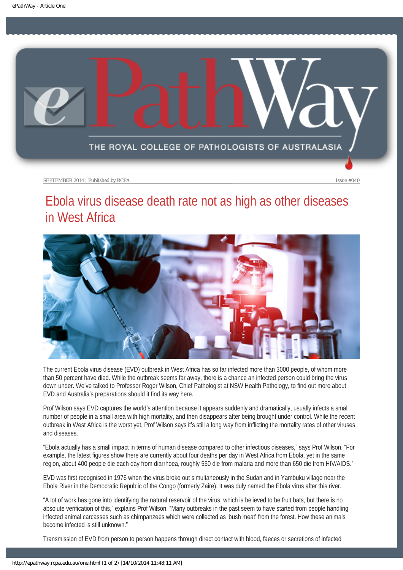<span id="page-5-0"></span>

# Ebola virus disease death rate not as high as other diseases in West Africa



The current Ebola virus disease (EVD) outbreak in West Africa has so far infected more than 3000 people, of whom more than 50 percent have died. While the outbreak seems far away, there is a chance an infected person could bring the virus down under. We've talked to Professor Roger Wilson, Chief Pathologist at NSW Health Pathology, to find out more about EVD and Australia's preparations should it find its way here.

Prof Wilson says EVD captures the world's attention because it appears suddenly and dramatically, usually infects a small number of people in a small area with high mortality, and then disappears after being brought under control. While the recent outbreak in West Africa is the worst yet, Prof Wilson says it's still a long way from inflicting the mortality rates of other viruses and diseases.

"Ebola actually has a small impact in terms of human disease compared to other infectious diseases," says Prof Wilson. "For example, the latest figures show there are currently about four deaths per day in West Africa from Ebola, yet in the same region, about 400 people die each day from diarrhoea, roughly 550 die from malaria and more than 650 die from HIV/AIDS."

EVD was first recognised in 1976 when the virus broke out simultaneously in the Sudan and in Yambuku village near the Ebola River in the Democratic Republic of the Congo (formerly Zaire). It was duly named the Ebola virus after this river.

"A lot of work has gone into identifying the natural reservoir of the virus, which is believed to be fruit bats, but there is no absolute verification of this," explains Prof Wilson. "Many outbreaks in the past seem to have started from people handling infected animal carcasses such as chimpanzees which were collected as 'bush meat' from the forest. How these animals become infected is still unknown."

Transmission of EVD from person to person happens through direct contact with blood, faeces or secretions of infected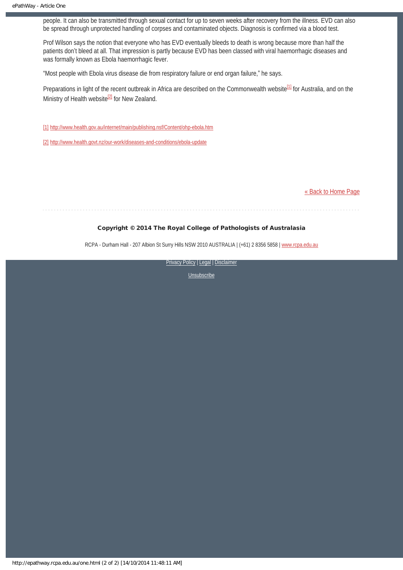people. It can also be transmitted through sexual contact for up to seven weeks after recovery from the illness. EVD can also be spread through unprotected handling of corpses and contaminated objects. Diagnosis is confirmed via a blood test.

Prof Wilson says the notion that everyone who has EVD eventually bleeds to death is wrong because more than half the patients don't bleed at all. That impression is partly because EVD has been classed with viral haemorrhagic diseases and was formally known as Ebola haemorrhagic fever.

"Most people with Ebola virus disease die from respiratory failure or end organ failure," he says.

Preparations in light of the recent outbreak in Africa are described on the Commonwealth website<sup>[1]</sup> for Australia, and on the Ministry of Health website<sup>[2]</sup> for New Zealand.

[1] <http://www.health.gov.au/internet/main/publishing.nsf/Content/ohp-ebola.htm>

[2] <http://www.health.govt.nz/our-work/diseases-and-conditions/ebola-update>

[« Back to Home Page](http://epathway.rcpa.edu.au/index.html)

#### Copyright © 2014 The Royal College of Pathologists of Australasia

RCPA - Durham Hall - 207 Albion St Surry Hills NSW 2010 AUSTRALIA | (+61) 2 8356 5858 | [www.rcpa.edu.au](http://www.rcpa.edu.au/)

[Privacy Policy](http://www.rcpa.edu.au/Content-Library/Privacy.aspx) | [Legal](http://www.rcpa.edu.au/Legal.aspx) | Disclaimer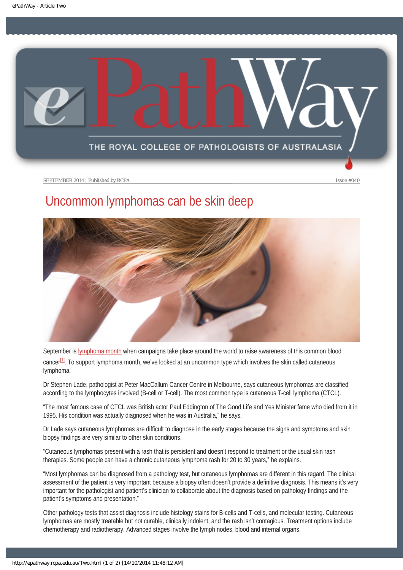<span id="page-7-0"></span>

# Uncommon lymphomas can be skin deep



<span id="page-7-1"></span>September is [lymphoma month](http://www.lymphoma.org.au/world-lymphoma-day) when campaigns take place around the world to raise awareness of this common blood cancer<sup>[\[1\]](#page-8-0)</sup>. To support lymphoma month, we've looked at an uncommon type which involves the skin called cutaneous lymphoma.

Dr Stephen Lade, pathologist at Peter MacCallum Cancer Centre in Melbourne, says cutaneous lymphomas are classified according to the lymphocytes involved (B-cell or T-cell). The most common type is cutaneous T-cell lymphoma (CTCL).

"The most famous case of CTCL was British actor Paul Eddington of The Good Life and Yes Minister fame who died from it in 1995. His condition was actually diagnosed when he was in Australia," he says.

Dr Lade says cutaneous lymphomas are difficult to diagnose in the early stages because the signs and symptoms and skin biopsy findings are very similar to other skin conditions.

"Cutaneous lymphomas present with a rash that is persistent and doesn't respond to treatment or the usual skin rash therapies. Some people can have a chronic cutaneous lymphoma rash for 20 to 30 years," he explains.

"Most lymphomas can be diagnosed from a pathology test, but cutaneous lymphomas are different in this regard. The clinical assessment of the patient is very important because a biopsy often doesn't provide a definitive diagnosis. This means it's very important for the pathologist and patient's clinician to collaborate about the diagnosis based on pathology findings and the patient's symptoms and presentation."

Other pathology tests that assist diagnosis include histology stains for B-cells and T-cells, and molecular testing. Cutaneous lymphomas are mostly treatable but not curable, clinically indolent, and the rash isn't contagious. Treatment options include chemotherapy and radiotherapy. Advanced stages involve the lymph nodes, blood and internal organs.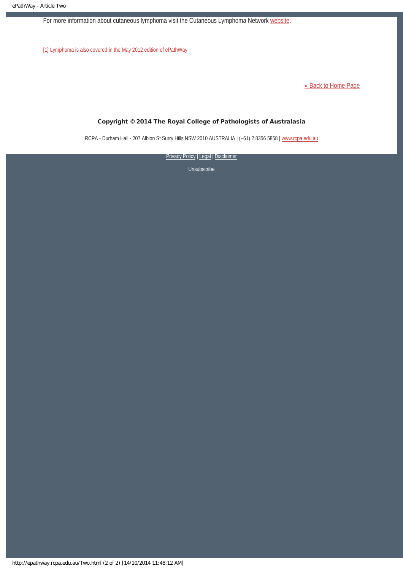For more information about cutaneous lymphoma visit the Cutaneous Lymphoma Network [website](http://www.clfoundation.org/treatment/treatment-centers/australian-skin-lymphoma-network).

<span id="page-8-0"></span>[\[1\]](#page-7-1) Lymphoma is also covered in the [May 2012](http://epathway.rcpa.edu.au/previous/014_0512.pdf) edition of ePathWay

[« Back to Home Page](http://epathway.rcpa.edu.au/index.html)

#### Copyright © 2014 The Royal College of Pathologists of Australasia

RCPA - Durham Hall - 207 Albion St Surry Hills NSW 2010 AUSTRALIA | (+61) 2 8356 5858 | [www.rcpa.edu.au](http://www.rcpa.edu.au/)

[Privacy Policy](http://www.rcpa.edu.au/Content-Library/Privacy.aspx) | [Legal](http://www.rcpa.edu.au/Legal.aspx) | Disclaimer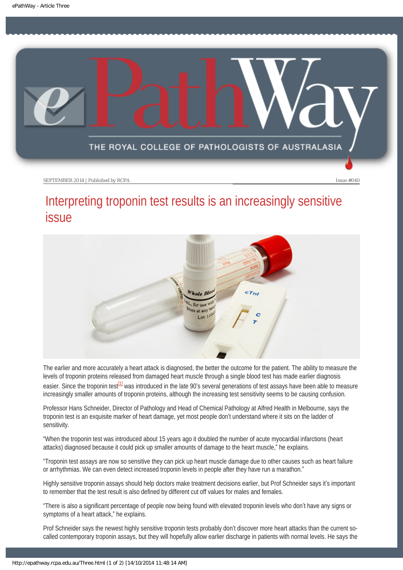<span id="page-9-0"></span>

# Interpreting troponin test results is an increasingly sensitive issue



The earlier and more accurately a heart attack is diagnosed, the better the outcome for the patient. The ability to measure the levels of troponin proteins released from damaged heart muscle through a single blood test has made earlier diagnosis easier. Since the troponin test<sup>[1]</sup> was introduced in the late 90's several generations of test assays have been able to measure increasingly smaller amounts of troponin proteins, although the increasing test sensitivity seems to be causing confusion.

<span id="page-9-1"></span>Professor Hans Schneider, Director of Pathology and Head of Chemical Pathology at Alfred Health in Melbourne, says the troponin test is an exquisite marker of heart damage, yet most people don't understand where it sits on the ladder of sensitivity.

"When the troponin test was introduced about 15 years ago it doubled the number of acute myocardial infarctions (heart attacks) diagnosed because it could pick up smaller amounts of damage to the heart muscle," he explains.

"Troponin test assays are now so sensitive they can pick up heart muscle damage due to other causes such as heart failure or arrhythmias. We can even detect increased troponin levels in people after they have run a marathon."

Highly sensitive troponin assays should help doctors make treatment decisions earlier, but Prof Schneider says it's important to remember that the test result is also defined by different cut off values for males and females.

"There is also a significant percentage of people now being found with elevated troponin levels who don't have any signs or symptoms of a heart attack," he explains.

Prof Schneider says the newest highly sensitive troponin tests probably don't discover more heart attacks than the current socalled contemporary troponin assays, but they will hopefully allow earlier discharge in patients with normal levels. He says the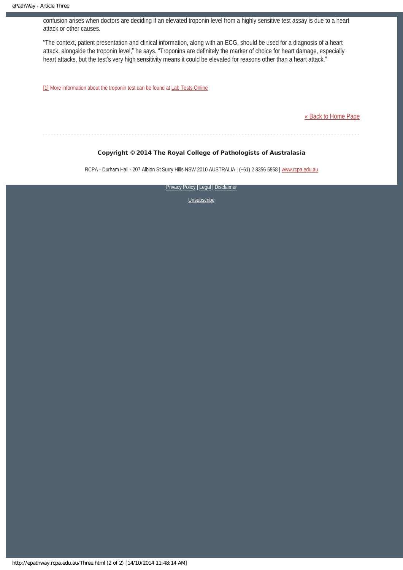confusion arises when doctors are deciding if an elevated troponin level from a highly sensitive test assay is due to a heart attack or other causes.

"The context, patient presentation and clinical information, along with an ECG, should be used for a diagnosis of a heart attack, alongside the troponin level," he says. "Troponins are definitely the marker of choice for heart damage, especially heart attacks, but the test's very high sensitivity means it could be elevated for reasons other than a heart attack."

<span id="page-10-0"></span>[\[1\]](#page-9-1) More information about the troponin test can be found at [Lab Tests Online](http://www.labtestsonline.org.au/understanding/analytes/troponin/)

[« Back to Home Page](http://epathway.rcpa.edu.au/index.html)

#### Copyright © 2014 The Royal College of Pathologists of Australasia

RCPA - Durham Hall - 207 Albion St Surry Hills NSW 2010 AUSTRALIA | (+61) 2 8356 5858 | [www.rcpa.edu.au](http://www.rcpa.edu.au/)

**[Privacy Policy](http://www.rcpa.edu.au/Content-Library/Privacy.aspx) | [Legal](http://www.rcpa.edu.au/Legal.aspx) | Disclaimer**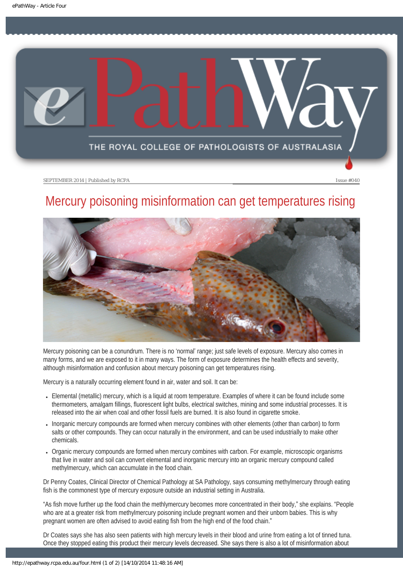<span id="page-11-0"></span>

# Mercury poisoning misinformation can get temperatures rising



Mercury poisoning can be a conundrum. There is no 'normal' range; just safe levels of exposure. Mercury also comes in many forms, and we are exposed to it in many ways. The form of exposure determines the health effects and severity, although misinformation and confusion about mercury poisoning can get temperatures rising.

Mercury is a naturally occurring element found in air, water and soil. It can be:

- Elemental (metallic) mercury, which is a liquid at room temperature. Examples of where it can be found include some thermometers, amalgam fillings, fluorescent light bulbs, electrical switches, mining and some industrial processes. It is released into the air when coal and other fossil fuels are burned. It is also found in cigarette smoke.
- Inorganic mercury compounds are formed when mercury combines with other elements (other than carbon) to form salts or other compounds. They can occur naturally in the environment, and can be used industrially to make other chemicals.
- Organic mercury compounds are formed when mercury combines with carbon. For example, microscopic organisms that live in water and soil can convert elemental and inorganic mercury into an organic mercury compound called methylmercury, which can accumulate in the food chain.

Dr Penny Coates, Clinical Director of Chemical Pathology at SA Pathology, says consuming methylmercury through eating fish is the commonest type of mercury exposure outside an industrial setting in Australia.

"As fish move further up the food chain the methlymercury becomes more concentrated in their body," she explains. "People who are at a greater risk from methylmercury poisoning include pregnant women and their unborn babies. This is why pregnant women are often advised to avoid eating fish from the high end of the food chain."

Dr Coates says she has also seen patients with high mercury levels in their blood and urine from eating a lot of tinned tuna. Once they stopped eating this product their mercury levels decreased. She says there is also a lot of misinformation about